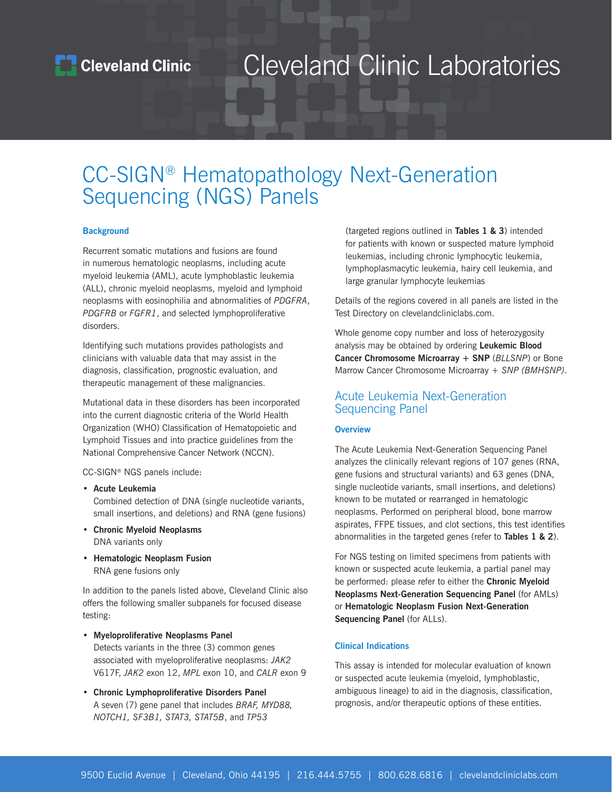### CC-SIGN® Hematopathology Next-Generation Sequencing (NGS) Panels

#### **Background**

Recurrent somatic mutations and fusions are found in numerous hematologic neoplasms, including acute myeloid leukemia (AML), acute lymphoblastic leukemia (ALL), chronic myeloid neoplasms, myeloid and lymphoid neoplasms with eosinophilia and abnormalities of *PDGFRA*, *PDGFRB* or *FGFR1*, and selected lymphoproliferative disorders.

Identifying such mutations provides pathologists and clinicians with valuable data that may assist in the diagnosis, classification, prognostic evaluation, and therapeutic management of these malignancies.

Mutational data in these disorders has been incorporated into the current diagnostic criteria of the World Health Organization (WHO) Classification of Hematopoietic and Lymphoid Tissues and into practice guidelines from the National Comprehensive Cancer Network (NCCN).

CC-SIGN® NGS panels include:

• **Acute Leukemia**

Combined detection of DNA (single nucleotide variants, small insertions, and deletions) and RNA (gene fusions)

- **Chronic Myeloid Neoplasms** DNA variants only
- **Hematologic Neoplasm Fusion** RNA gene fusions only

In addition to the panels listed above, Cleveland Clinic also offers the following smaller subpanels for focused disease testing:

- **Myeloproliferative Neoplasms Panel** Detects variants in the three (3) common genes associated with myeloproliferative neoplasms: *JAK2* V617F, *JAK2* exon 12, *MPL* exon 10, and *CALR* exon 9
- **Chronic Lymphoproliferative Disorders Panel** A seven (7) gene panel that includes *BRAF, MYD88, NOTCH1, SF3B1, STAT3, STAT5B*, and *TP53*

(targeted regions outlined in **Tables 1 & 3**) intended for patients with known or suspected mature lymphoid leukemias, including chronic lymphocytic leukemia, lymphoplasmacytic leukemia, hairy cell leukemia, and large granular lymphocyte leukemias

Details of the regions covered in all panels are listed in the Test Directory on clevelandcliniclabs.com.

Whole genome copy number and loss of heterozygosity analysis may be obtained by ordering **Leukemic Blood Cancer Chromosome Microarray + SNP** (*BLLSNP*) or Bone Marrow Cancer Chromosome Microarray + *SNP (BMHSNP)*.

#### Acute Leukemia Next-Generation Sequencing Panel

#### **Overview**

The Acute Leukemia Next-Generation Sequencing Panel analyzes the clinically relevant regions of 107 genes (RNA, gene fusions and structural variants) and 63 genes (DNA, single nucleotide variants, small insertions, and deletions) known to be mutated or rearranged in hematologic neoplasms. Performed on peripheral blood, bone marrow aspirates, FFPE tissues, and clot sections, this test identifies abnormalities in the targeted genes (refer to **Tables 1 & 2**).

For NGS testing on limited specimens from patients with known or suspected acute leukemia, a partial panel may be performed: please refer to either the **Chronic Myeloid Neoplasms Next-Generation Sequencing Panel** (for AMLs) or **Hematologic Neoplasm Fusion Next-Generation Sequencing Panel** (for ALLs).

#### **Clinical Indications**

This assay is intended for molecular evaluation of known or suspected acute leukemia (myeloid, lymphoblastic, ambiguous lineage) to aid in the diagnosis, classification, prognosis, and/or therapeutic options of these entities.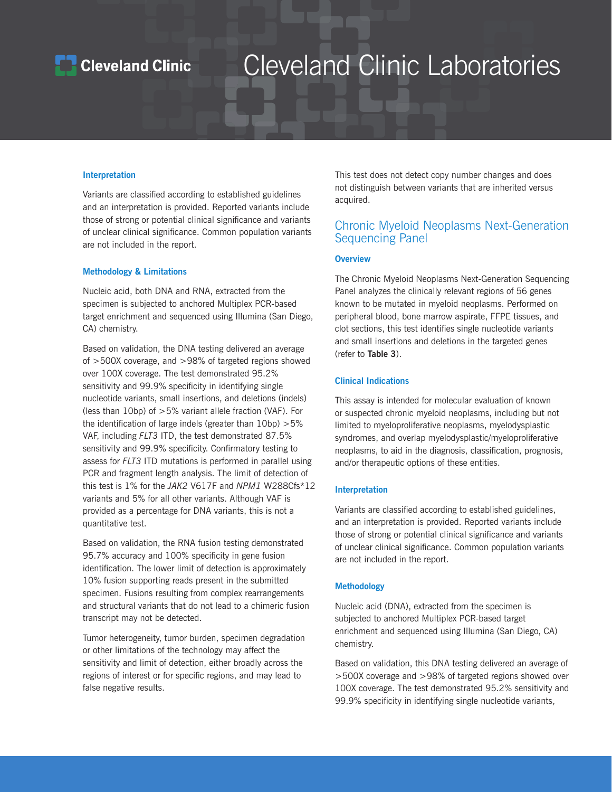### **Cleveland Clinic**

## Cleveland Clinic Laboratories

#### **Interpretation**

Variants are classified according to established guidelines and an interpretation is provided. Reported variants include those of strong or potential clinical significance and variants of unclear clinical significance. Common population variants are not included in the report.

#### **Methodology & Limitations**

Nucleic acid, both DNA and RNA, extracted from the specimen is subjected to anchored Multiplex PCR-based target enrichment and sequenced using Illumina (San Diego, CA) chemistry.

Based on validation, the DNA testing delivered an average of >500X coverage, and >98% of targeted regions showed over 100X coverage. The test demonstrated 95.2% sensitivity and 99.9% specificity in identifying single nucleotide variants, small insertions, and deletions (indels) (less than 10bp) of >5% variant allele fraction (VAF). For the identification of large indels (greater than 10bp) >5% VAF, including *FLT3* ITD, the test demonstrated 87.5% sensitivity and 99.9% specificity. Confirmatory testing to assess for *FLT3* ITD mutations is performed in parallel using PCR and fragment length analysis. The limit of detection of this test is 1% for the *JAK2* V617F and *NPM1* W288Cfs\*12 variants and 5% for all other variants. Although VAF is provided as a percentage for DNA variants, this is not a quantitative test.

Based on validation, the RNA fusion testing demonstrated 95.7% accuracy and 100% specificity in gene fusion identification. The lower limit of detection is approximately 10% fusion supporting reads present in the submitted specimen. Fusions resulting from complex rearrangements and structural variants that do not lead to a chimeric fusion transcript may not be detected.

Tumor heterogeneity, tumor burden, specimen degradation or other limitations of the technology may affect the sensitivity and limit of detection, either broadly across the regions of interest or for specific regions, and may lead to false negative results.

This test does not detect copy number changes and does not distinguish between variants that are inherited versus acquired.

#### Chronic Myeloid Neoplasms Next-Generation Sequencing Panel

#### **Overview**

The Chronic Myeloid Neoplasms Next-Generation Sequencing Panel analyzes the clinically relevant regions of 56 genes known to be mutated in myeloid neoplasms. Performed on peripheral blood, bone marrow aspirate, FFPE tissues, and clot sections, this test identifies single nucleotide variants and small insertions and deletions in the targeted genes (refer to **Table 3**).

#### **Clinical Indications**

This assay is intended for molecular evaluation of known or suspected chronic myeloid neoplasms, including but not limited to myeloproliferative neoplasms, myelodysplastic syndromes, and overlap myelodysplastic/myeloproliferative neoplasms, to aid in the diagnosis, classification, prognosis, and/or therapeutic options of these entities.

#### **Interpretation**

Variants are classified according to established guidelines, and an interpretation is provided. Reported variants include those of strong or potential clinical significance and variants of unclear clinical significance. Common population variants are not included in the report.

#### **Methodology**

Nucleic acid (DNA), extracted from the specimen is subjected to anchored Multiplex PCR-based target enrichment and sequenced using Illumina (San Diego, CA) chemistry.

Based on validation, this DNA testing delivered an average of >500X coverage and >98% of targeted regions showed over 100X coverage. The test demonstrated 95.2% sensitivity and 99.9% specificity in identifying single nucleotide variants,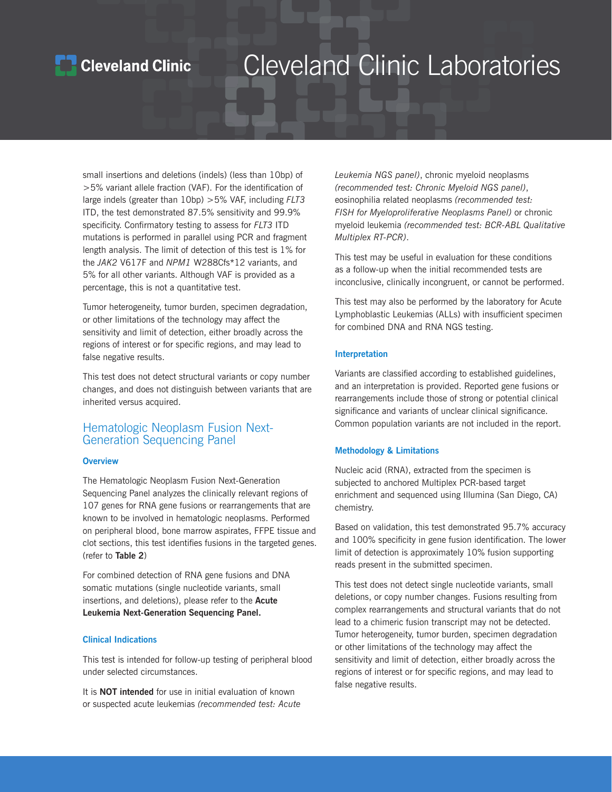### **Cleveland Clinic**

### Cleveland Clinic Laboratories

small insertions and deletions (indels) (less than 10bp) of >5% variant allele fraction (VAF). For the identification of large indels (greater than 10bp) >5% VAF, including *FLT3* ITD, the test demonstrated 87.5% sensitivity and 99.9% specificity. Confirmatory testing to assess for *FLT3* ITD mutations is performed in parallel using PCR and fragment length analysis. The limit of detection of this test is 1% for the *JAK2* V617F and *NPM1* W288Cfs\*12 variants, and 5% for all other variants. Although VAF is provided as a percentage, this is not a quantitative test.

Tumor heterogeneity, tumor burden, specimen degradation, or other limitations of the technology may affect the sensitivity and limit of detection, either broadly across the regions of interest or for specific regions, and may lead to false negative results.

This test does not detect structural variants or copy number changes, and does not distinguish between variants that are inherited versus acquired.

#### Hematologic Neoplasm Fusion Next-Generation Sequencing Panel

#### **Overview**

The Hematologic Neoplasm Fusion Next-Generation Sequencing Panel analyzes the clinically relevant regions of 107 genes for RNA gene fusions or rearrangements that are known to be involved in hematologic neoplasms. Performed on peripheral blood, bone marrow aspirates, FFPE tissue and clot sections, this test identifies fusions in the targeted genes. (refer to **Table 2**)

For combined detection of RNA gene fusions and DNA somatic mutations (single nucleotide variants, small insertions, and deletions), please refer to the **Acute Leukemia Next-Generation Sequencing Panel.**

#### **Clinical Indications**

This test is intended for follow-up testing of peripheral blood under selected circumstances.

It is **NOT intended** for use in initial evaluation of known or suspected acute leukemias *(recommended test: Acute*  *Leukemia NGS panel)*, chronic myeloid neoplasms *(recommended test: Chronic Myeloid NGS panel)*, eosinophilia related neoplasms *(recommended test: FISH for Myeloproliferative Neoplasms Panel)* or chronic myeloid leukemia *(recommended test: BCR-ABL Qualitative Multiplex RT-PCR)*.

This test may be useful in evaluation for these conditions as a follow-up when the initial recommended tests are inconclusive, clinically incongruent, or cannot be performed.

This test may also be performed by the laboratory for Acute Lymphoblastic Leukemias (ALLs) with insufficient specimen for combined DNA and RNA NGS testing.

#### **Interpretation**

Variants are classified according to established guidelines, and an interpretation is provided. Reported gene fusions or rearrangements include those of strong or potential clinical significance and variants of unclear clinical significance. Common population variants are not included in the report.

#### **Methodology & Limitations**

Nucleic acid (RNA), extracted from the specimen is subjected to anchored Multiplex PCR-based target enrichment and sequenced using Illumina (San Diego, CA) chemistry.

Based on validation, this test demonstrated 95.7% accuracy and 100% specificity in gene fusion identification. The lower limit of detection is approximately 10% fusion supporting reads present in the submitted specimen.

This test does not detect single nucleotide variants, small deletions, or copy number changes. Fusions resulting from complex rearrangements and structural variants that do not lead to a chimeric fusion transcript may not be detected. Tumor heterogeneity, tumor burden, specimen degradation or other limitations of the technology may affect the sensitivity and limit of detection, either broadly across the regions of interest or for specific regions, and may lead to false negative results.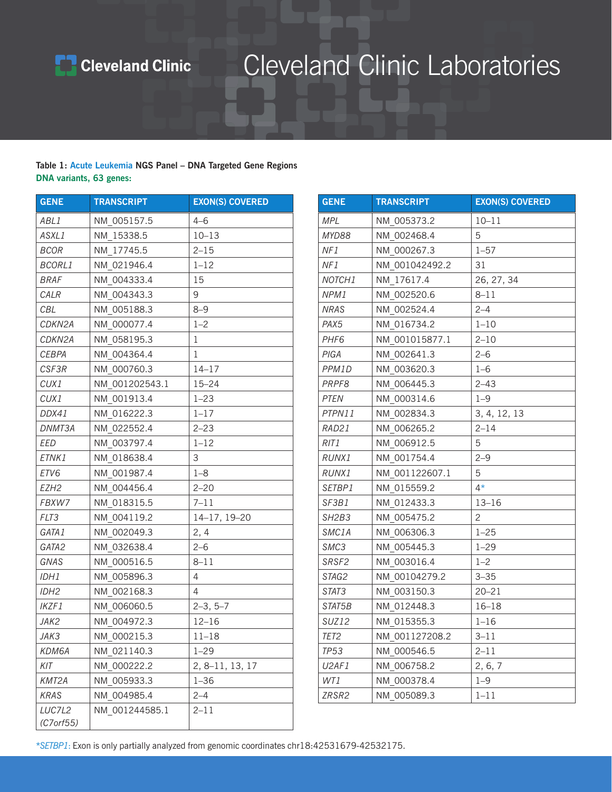

#### **Table 1: Acute Leukemia NGS Panel – DNA Targeted Gene Regions DNA variants, 63 genes:**

| <b>GENE</b>         | <b>TRANSCRIPT</b> | <b>EXON(S) COVERED</b> | <b>GENE</b>                    | <b>TRANSCRIPT</b> | <b>EXON(S) COVERED</b> |
|---------------------|-------------------|------------------------|--------------------------------|-------------------|------------------------|
| ABL1                | NM_005157.5       | $4 - 6$                | <b>MPL</b>                     | NM_005373.2       | $10 - 11$              |
| ASXL1               | NM_15338.5        | $10 - 13$              | MYD88                          | NM_002468.4       | 5                      |
| BCOR                | NM_17745.5        | $2 - 15$               | NF1                            | NM 000267.3       | $1 - 57$               |
| <b>BCORL1</b>       | NM 021946.4       | $1 - 12$               | NF1                            | NM 001042492.2    | 31                     |
| <b>BRAF</b>         | NM 004333.4       | 15                     | NOTCH1                         | NM_17617.4        | 26, 27, 34             |
| CALR                | NM_004343.3       | 9                      | NPM1                           | NM_002520.6       | $8 - 11$               |
| CBL                 | NM 005188.3       | $8 - 9$                | NRAS                           | NM 002524.4       | $2 - 4$                |
| CDKN2A              | NM_000077.4       | $1 - 2$                | PAX5                           | NM_016734.2       | $1 - 10$               |
| CDKN2A              | NM_058195.3       | 1                      | PHF <sub>6</sub>               | NM_001015877.1    | $2 - 10$               |
| CEBPA               | NM_004364.4       | 1                      | PIGA                           | NM_002641.3       | $2 - 6$                |
| CSF3R               | NM_000760.3       | $14 - 17$              | PPM1D                          | NM_003620.3       | $1 - 6$                |
| CUX1                | NM 001202543.1    | $15 - 24$              | PRPF8                          | NM 006445.3       | $2 - 43$               |
| CUX1                | NM_001913.4       | $1 - 23$               | PTEN                           | NM_000314.6       | $1 - 9$                |
| DDX41               | NM_016222.3       | $1 - 17$               | PTPN11                         | NM_002834.3       | 3, 4, 12, 13           |
| DNMT3A              | NM_022552.4       | $2 - 23$               | RAD21                          | NM_006265.2       | $2 - 14$               |
| EED                 | NM 003797.4       | $1 - 12$               | RIT1                           | NM 006912.5       | 5                      |
| ETNK1               | NM_018638.4       | 3                      | RUNX1                          | NM_001754.4       | $2 - 9$                |
| ETV6                | NM 001987.4       | $1 - 8$                | RUNX1                          | NM 001122607.1    | 5                      |
| EZH <sub>2</sub>    | NM 004456.4       | $2 - 20$               | SETBP1                         | NM 015559.2       | $4*$                   |
| FBXW7               | NM_018315.5       | $7 - 11$               | SF3B1                          | NM_012433.3       | $13 - 16$              |
| FLT3                | NM 004119.2       | 14-17, 19-20           | SH <sub>2</sub> B <sub>3</sub> | NM 005475.2       | $\overline{2}$         |
| GATA1               | NM_002049.3       | 2, 4                   | SMC1A                          | NM_006306.3       | $1 - 25$               |
| GATA2               | NM_032638.4       | $2 - 6$                | SMC3                           | NM_005445.3       | $1 - 29$               |
| GNAS                | NM_000516.5       | $8 - 11$               | SRSF2                          | NM_003016.4       | $1 - 2$                |
| IDH1                | NM_005896.3       | $\overline{4}$         | STAG2                          | NM_00104279.2     | $3 - 35$               |
| IDH2                | NM_002168.3       | $\overline{4}$         | STAT3                          | NM_003150.3       | $20 - 21$              |
| IKZF1               | NM_006060.5       | $2-3, 5-7$             | STAT5B                         | NM_012448.3       | $16 - 18$              |
| JAK2                | NM 004972.3       | $12 - 16$              | SUZ12                          | NM 015355.3       | $1 - 16$               |
| JAK3                | NM 000215.3       | $11 - 18$              | TET <sub>2</sub>               | NM 001127208.2    | $3 - 11$               |
| KDM6A               | NM_021140.3       | $1 - 29$               | <b>TP53</b>                    | NM_000546.5       | $2 - 11$               |
| KIT                 | NM_000222.2       | 2, 8-11, 13, 17        | U2AF1                          | NM 006758.2       | 2, 6, 7                |
| KMT2A               | NM 005933.3       | $1 - 36$               | WT1                            | NM_000378.4       | $1 - 9$                |
| KRAS                | NM_004985.4       | $2 - 4$                | ZRSR2                          | NM 005089.3       | $1 - 11$               |
| LUC7L2<br>(C7orf55) | NM_001244585.1    | $2 - 11$               |                                |                   |                        |

| <b>GENE</b>                    | <b>TRANSCRIPT</b> | <b>EXON(S) COVERED</b> |
|--------------------------------|-------------------|------------------------|
| <b>MPL</b>                     | NM 005373.2       | $10 - 11$              |
| MYD88                          | NM 002468.4       | 5                      |
| NF1                            | NM 000267.3       | $1 - 57$               |
| NF1                            | NM 001042492.2    | 31                     |
| NOTCH <sub>1</sub>             | NM 17617.4        | 26, 27, 34             |
| NPM1                           | NM 002520.6       | $8 - 11$               |
| <b>NRAS</b>                    | NM 002524.4       | $2 - 4$                |
| PAX <sub>5</sub>               | NM 016734.2       | $1 - 10$               |
| PHF <sub>6</sub>               | NM 001015877.1    | $2 - 10$               |
| PIGA                           | NM 002641.3       | $2 - 6$                |
| PPM1D                          | NM 003620.3       | $1 - 6$                |
| PRPF8                          | NM 006445.3       | $2 - 43$               |
| PTEN                           | NM 000314.6       | $1 - 9$                |
| PTPN11                         | NM 002834.3       | 3, 4, 12, 13           |
| RAD21                          | NM 006265.2       | $2 - 14$               |
| RIT1                           | NM 006912.5       | 5                      |
| RUNX1                          | NM 001754.4       | $2 - 9$                |
| RUNX1                          | NM 001122607.1    | 5                      |
| SETBP1                         | NM 015559.2       | $4*$                   |
| SF3B1                          | NM 012433.3       | $13 - 16$              |
| SH <sub>2</sub> B <sub>3</sub> | NM 005475.2       | $\overline{2}$         |
| SMC1A                          | NM 006306.3       | $1 - 25$               |
| SMC3                           | NM 005445.3       | $1 - 29$               |
| SRSF2                          | NM 003016.4       | $1 - 2$                |
| STAG2                          | NM 00104279.2     | $3 - 35$               |
| STAT3                          | NM 003150.3       | $20 - 21$              |
| STAT5B                         | NM 012448.3       | $16 - 18$              |
| SUZ12                          | NM 015355.3       | $1 - 16$               |
| TET <sub>2</sub>               | NM 001127208.2    | $3 - 11$               |
| <b>TP53</b>                    | NM 000546.5       | $2 - 11$               |
| U2AF1                          | NM 006758.2       | 2, 6, 7                |
| WT1                            | NM 000378.4       | $1 - 9$                |
| ZRSR2                          | NM 005089.3       | $1 - 11$               |

\**SETBP1*: Exon is only partially analyzed from genomic coordinates chr18:42531679-42532175.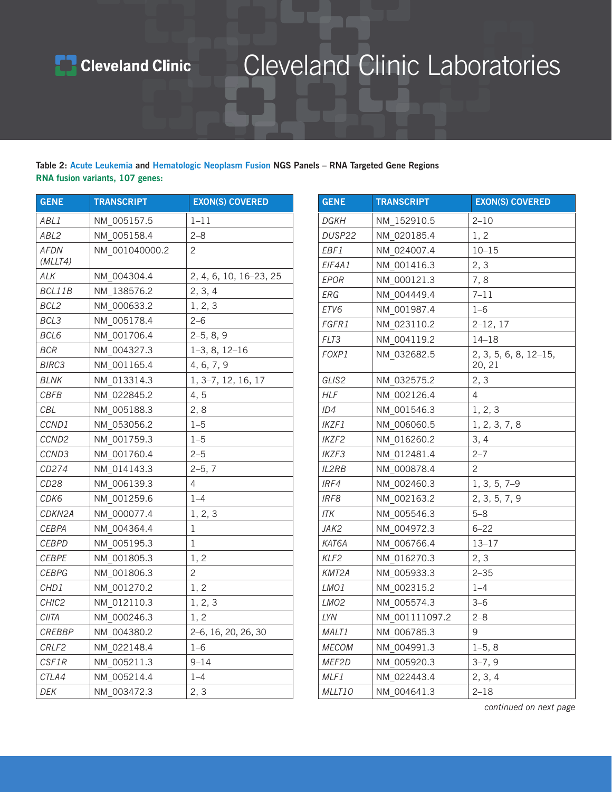

#### **Table 2: Acute Leukemia and Hematologic Neoplasm Fusion NGS Panels – RNA Targeted Gene Regions RNA fusion variants, 107 genes:**

| <b>GENE</b>       | <b>TRANSCRIPT</b> | <b>EXON(S) COVERED</b> | <b>GENE</b>      | <b>TRANSCRIPT</b> | <b>EXON(S) COVERED</b> |
|-------------------|-------------------|------------------------|------------------|-------------------|------------------------|
| ABL1              | NM 005157.5       | $1 - 11$               | DGKH             | NM 152910.5       | $2 - 10$               |
| ABL2              | NM 005158.4       | $2 - 8$                | DUSP22           | NM 020185.4       | 1, 2                   |
| <b>AFDN</b>       | NM 001040000.2    | $\overline{c}$         | EBF1             | NM_024007.4       | $10 - 15$              |
| (MLLT4)           |                   |                        | EIF4A1           | NM 001416.3       | 2, 3                   |
| ALK               | NM 004304.4       | 2, 4, 6, 10, 16-23, 25 | EPOR             | NM 000121.3       | 7,8                    |
| BCL11B            | NM 138576.2       | 2, 3, 4                | ERG              | NM 004449.4       | $7 - 11$               |
| BCL2              | NM_000633.2       | 1, 2, 3                | ETV6             | NM 001987.4       | $1 - 6$                |
| BCL3              | NM_005178.4       | $2 - 6$                | FGFR1            | NM 023110.2       | $2-12, 17$             |
| BCL6              | NM 001706.4       | $2-5, 8, 9$            | FLT3             | NM_004119.2       | $14 - 18$              |
| <b>BCR</b>        | NM 004327.3       | $1-3, 8, 12-16$        | FOXP1            | NM_032682.5       | 2, 3, 5, 6, 8, 12-19   |
| BIRC3             | NM 001165.4       | 4, 6, 7, 9             |                  |                   | 20, 21                 |
| <b>BLNK</b>       | NM 013314.3       | 1, 3-7, 12, 16, 17     | GLIS2            | NM 032575.2       | 2, 3                   |
| CBFB              | NM 022845.2       | 4, 5                   | <b>HLF</b>       | NM 002126.4       | $\overline{4}$         |
| CBL               | NM 005188.3       | 2, 8                   | ID4              | NM 001546.3       | 1, 2, 3                |
| CCND1             | NM 053056.2       | $1 - 5$                | IKZF1            | NM_006060.5       | 1, 2, 3, 7, 8          |
| CCND <sub>2</sub> | NM 001759.3       | $1 - 5$                | IKZF2            | NM 016260.2       | 3, 4                   |
| CCND3             | NM 001760.4       | $2 - 5$                | IKZF3            | NM 012481.4       | $2 - 7$                |
| CD274             | NM 014143.3       | $2-5, 7$               | IL2RB            | NM 000878.4       | $\overline{c}$         |
| CD28              | NM 006139.3       | 4                      | IRF4             | NM 002460.3       | $1, 3, 5, 7-9$         |
| CDK6              | NM_001259.6       | $1 - 4$                | IRF8             | NM_002163.2       | 2, 3, 5, 7, 9          |
| CDKN2A            | NM_000077.4       | 1, 2, 3                | <b>ITK</b>       | NM_005546.3       | $5 - 8$                |
| CEBPA             | NM 004364.4       | 1                      | JAK2             | NM_004972.3       | $6 - 22$               |
| <b>CEBPD</b>      | NM 005195.3       | $\mathbf 1$            | KAT6A            | NM_006766.4       | $13 - 17$              |
| <b>CEBPE</b>      | NM 001805.3       | 1, 2                   | KLF2             | NM_016270.3       | 2, 3                   |
| <b>CEBPG</b>      | NM_001806.3       | $\overline{c}$         | KMT2A            | NM 005933.3       | $2 - 35$               |
| CHD1              | NM 001270.2       | 1, 2                   | LMO1             | NM 002315.2       | $1 - 4$                |
| CHIC <sub>2</sub> | NM 012110.3       | 1, 2, 3                | LMO <sub>2</sub> | NM 005574.3       | $3 - 6$                |
| CIITA             | NM_000246.3       | 1, 2                   | LYN              | NM 001111097.2    | $2 - 8$                |
| CREBBP            | NM_004380.2       | 2-6, 16, 20, 26, 30    | MALT1            | NM 006785.3       | 9                      |
| CRLF2             | NM 022148.4       | $1 - 6$                | MECOM            | NM 004991.3       | $1-5, 8$               |
| CSF1R             | NM 005211.3       | $9 - 14$               | MEF2D            | NM 005920.3       | $3-7,9$                |
| CTLA4             | NM 005214.4       | $1 - 4$                | MLF1             | NM 022443.4       | 2, 3, 4                |
| DEK               | NM 003472.3       | 2, 3                   | MLLT10           | NM 004641.3       | $2 - 18$               |
|                   |                   |                        |                  |                   |                        |

| <b>GENE</b>        | <b>TRANSCRIPT</b> | <b>EXON(S) COVERED</b>          |
|--------------------|-------------------|---------------------------------|
| DGKH               | NM 152910.5       | $2 - 10$                        |
| DUSP22             | NM 020185.4       | 1, 2                            |
| EBF1               | NM 024007.4       | $10 - 15$                       |
| EIF4A1             | NM 001416.3       | 2, 3                            |
| <b>EPOR</b>        | NM 000121.3       | 7,8                             |
| ERG                | NM 004449.4       | $7 - 11$                        |
| ETV6               | NM 001987.4       | $1 - 6$                         |
| FGFR1              | NM 023110.2       | $2-12, 17$                      |
| FLT3               | NM 004119.2       | $14 - 18$                       |
| FOXP1              | NM 032682.5       | 2, 3, 5, 6, 8, 12-15,<br>20, 21 |
| GLIS2              | NM 032575.2       | 2, 3                            |
| <b>HLF</b>         | NM 002126.4       | 4                               |
| ID4                | NM 001546.3       | 1, 2, 3                         |
| IKZF1              | NM 006060.5       | 1, 2, 3, 7, 8                   |
| IKZF2              | NM 016260.2       | 3, 4                            |
| IKZF3              | NM 012481.4       | $2 - 7$                         |
| <b>IL2RB</b>       | NM 000878.4       | 2                               |
| IRF4               | NM 002460.3       | 1, 3, 5, 7-9                    |
| IRF8               | NM 002163.2       | 2, 3, 5, 7, 9                   |
| ITK                | NM 005546.3       | $5 - 8$                         |
| JAK2               | NM 004972.3       | $6 - 22$                        |
| KAT6A              | NM 006766.4       | $13 - 17$                       |
| KLF <sub>2</sub>   | NM 016270.3       | 2, 3                            |
| KMT <sub>2</sub> A | NM 005933.3       | $2 - 35$                        |
| LMO1               | NM 002315.2       | $1 - 4$                         |
| LMO <sub>2</sub>   | NM 005574.3       | $3 - 6$                         |
| <b>LYN</b>         | NM 001111097.2    | $2 - 8$                         |
| MALT1              | NM 006785.3       | 9                               |
| <b>MECOM</b>       | NM 004991.3       | $1-5, 8$                        |
| MEF2D              | NM 005920.3       | $3-7,9$                         |
| MLF1               | NM 022443.4       | 2, 3, 4                         |
| MLLT10             | NM 004641.3       | $2 - 18$                        |

*continued on next page*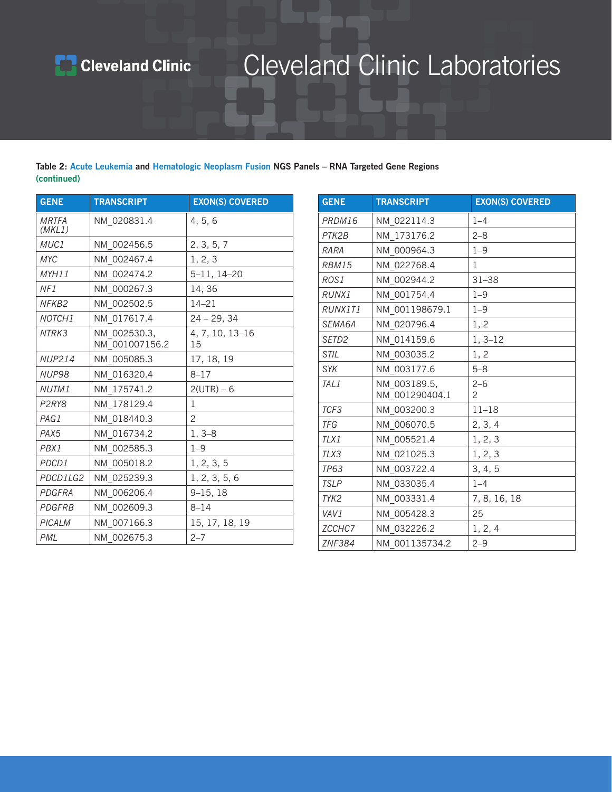

#### **Table 2: Acute Leukemia and Hematologic Neoplasm Fusion NGS Panels – RNA Targeted Gene Regions (continued)**

| <b>GENE</b>                    | <b>TRANSCRIPT</b> | <b>EXON(S) COVERED</b> | <b>GENE</b>   | <b>TRANSCRIPT</b>              | <b>EXON(S) COVERED</b>    |
|--------------------------------|-------------------|------------------------|---------------|--------------------------------|---------------------------|
| <b>MRTFA</b>                   | NM 020831.4       | 4, 5, 6                | PRDM16        | NM 022114.3                    | $1 - 4$                   |
| (MKL1)                         |                   |                        | PTK2B         | NM 173176.2                    | $2 - 8$                   |
| MUC1                           | NM 002456.5       | 2, 3, 5, 7             | RARA          | NM 000964.3                    | $1 - 9$                   |
| <b>MYC</b>                     | NM 002467.4       | 1, 2, 3                | RBM15         | NM 022768.4                    | 1                         |
| MYH11                          | NM 002474.2       | $5 - 11, 14 - 20$      | ROS1          | NM 002944.2                    | $31 - 38$                 |
| NF1                            | NM 000267.3       | 14,36                  | RUNX1         | NM 001754.4                    | $1 - 9$                   |
| NFKB <sub>2</sub>              | NM 002502.5       | $14 - 21$              | RUNX1T1       | NM 001198679.1                 | $1 - 9$                   |
| NOTCH1                         | NM 017617.4       | $24 - 29, 34$          | SEMA6A        | NM 020796.4                    | 1, 2                      |
| NTRK3                          | NM 002530.3,      | 4, 7, 10, 13-16        | SETD2         | NM 014159.6                    | $1, 3-12$                 |
|                                | NM 001007156.2    | 15                     | STIL          | NM 003035.2                    | 1, 2                      |
| <b>NUP214</b>                  | NM 005085.3       | 17, 18, 19             | SYK           | NM 003177.6                    | $5 - 8$                   |
| NUP98                          | NM_016320.4       | $8 - 17$               |               |                                |                           |
| NUTM1                          | NM 175741.2       | $2(UTR) - 6$           | TAL1          | NM 003189.5,<br>NM 001290404.1 | $2 - 6$<br>$\overline{c}$ |
| P <sub>2</sub> RY <sub>8</sub> | NM 178129.4       | 1                      | TCF3          | NM_003200.3                    | $11 - 18$                 |
| PAG1                           | NM 018440.3       | $\overline{2}$         | TFG           | NM 006070.5                    | 2, 3, 4                   |
| PAX <sub>5</sub>               | NM 016734.2       | $1, 3-8$               | TLX1          | NM 005521.4                    | 1, 2, 3                   |
| PBX1                           | NM 002585.3       | $1 - 9$                | TLX3          | NM 021025.3                    | 1, 2, 3                   |
| PDCD1                          | NM 005018.2       | 1, 2, 3, 5             | <b>TP63</b>   | NM 003722.4                    |                           |
| PDCD1LG2                       | NM 025239.3       | 1, 2, 3, 5, 6          | <b>TSLP</b>   |                                | 3, 4, 5                   |
| PDGFRA                         | NM 006206.4       | $9 - 15, 18$           |               | NM 033035.4                    | $1 - 4$                   |
| <b>PDGFRB</b>                  | NM_002609.3       | $8 - 14$               | TYK2          | NM 003331.4                    | 7, 8, 16, 18              |
| PICALM                         | NM 007166.3       | 15, 17, 18, 19         | VAV1          | NM 005428.3                    | 25                        |
|                                |                   |                        | ZCCHC7        | NM 032226.2                    | 1, 2, 4                   |
| PML                            | NM 002675.3       | $2 - 7$                | <b>ZNF384</b> | NM 001135734.2                 | $2 - 9$                   |

| <b>GENE</b>       | <b>TRANSCRIPT</b>              | <b>EXON(S) COVERED</b>    |
|-------------------|--------------------------------|---------------------------|
| PRDM16            | NM 022114.3                    | $1 - 4$                   |
| PTK2B             | NM 173176.2                    | $2 - 8$                   |
| RARA              | NM 000964.3                    | $1 - 9$                   |
| RBM15             | NM 022768.4                    | 1                         |
| ROS1              | NM 002944.2                    | $31 - 38$                 |
| RUNX1             | NM 001754.4                    | $1 - 9$                   |
| RUNX1T1           | NM 001198679.1                 | $1 - 9$                   |
| SEMA6A            | NM 020796.4                    | 1, 2                      |
| SETD <sub>2</sub> | NM 014159.6                    | $1, 3-12$                 |
| STIL              | NM 003035.2                    | 1, 2                      |
| <b>SYK</b>        | NM 003177.6                    | $5 - 8$                   |
| TAL1              | NM 003189.5,<br>NM 001290404.1 | $2 - 6$<br>$\overline{2}$ |
| TCF3              | NM 003200.3                    | $11 - 18$                 |
| TFG               | NM 006070.5                    | 2, 3, 4                   |
| TLX1              | NM 005521.4                    | 1, 2, 3                   |
| TLX3              | NM 021025.3                    | 1, 2, 3                   |
| <b>TP63</b>       | NM 003722.4                    | 3, 4, 5                   |
| <b>TSLP</b>       | NM 033035.4                    | $1 - 4$                   |
| TYK <sub>2</sub>  | NM 003331.4                    | 7, 8, 16, 18              |
| VAV1              | NM 005428.3                    | 25                        |
| ZCCHC7            | NM 032226.2                    | 1, 2, 4                   |
| <b>ZNF384</b>     | NM 001135734.2                 | $2 - 9$                   |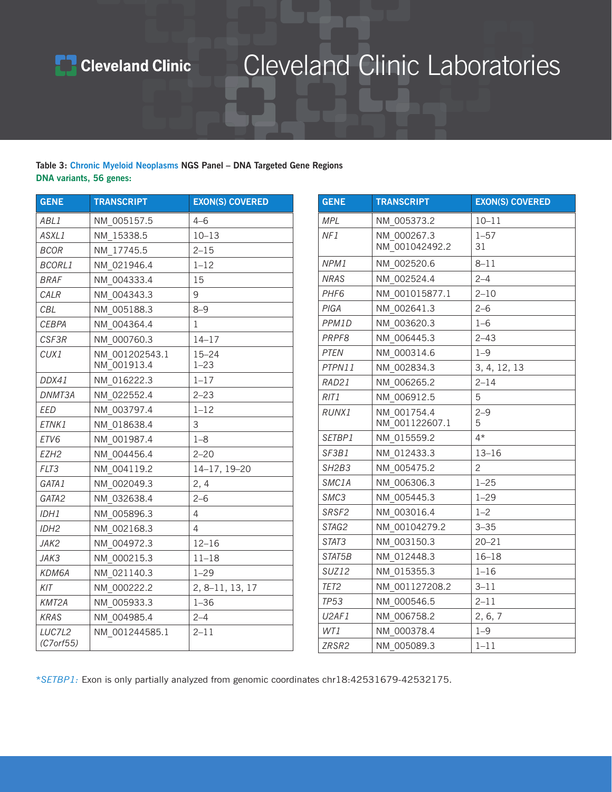

#### **Table 3: Chronic Myeloid Neoplasms NGS Panel – DNA Targeted Gene Regions DNA variants, 56 genes:**

| <b>GENE</b>      | <b>TRANSCRIPT</b> | <b>EXON(S) COVERED</b> | <b>GENE</b>                    | <b>TRANSCRIPT</b> | <b>EXON(S) COVERED</b> |
|------------------|-------------------|------------------------|--------------------------------|-------------------|------------------------|
| ABL1             | NM 005157.5       | $4 - 6$                | <b>MPL</b>                     | NM_005373.2       | $10 - 11$              |
| ASXL1            | NM 15338.5        | $10 - 13$              | NF1                            | NM 000267.3       | $1 - 57$               |
| <b>BCOR</b>      | NM_17745.5        | $2 - 15$               |                                | NM_001042492.2    | 31                     |
| <b>BCORL1</b>    | NM_021946.4       | $1 - 12$               | NPM1                           | NM 002520.6       | $8 - 11$               |
| <b>BRAF</b>      | NM 004333.4       | 15                     | NRAS                           | NM 002524.4       | $2 - 4$                |
| CALR             | NM 004343.3       | 9                      | PHF <sub>6</sub>               | NM 001015877.1    | $2 - 10$               |
| CBL              | NM_005188.3       | $8 - 9$                | PIGA                           | NM_002641.3       | $2 - 6$                |
| CEBPA            | NM 004364.4       | 1                      | PPM1D                          | NM_003620.3       | $1 - 6$                |
| CSF3R            | NM 000760.3       | $14 - 17$              | PRPF8                          | NM 006445.3       | $2 - 43$               |
| CUX1             | NM 001202543.1    | $15 - 24$              | PTEN                           | NM 000314.6       | $1 - 9$                |
|                  | NM_001913.4       | $1 - 23$               | PTPN11                         | NM_002834.3       | 3, 4, 12, 13           |
| DDX41            | NM_016222.3       | $1 - 17$               | RAD21                          | NM_006265.2       | $2 - 14$               |
| DNMT3A           | NM_022552.4       | $2 - 23$               | RIT1                           | NM 006912.5       | 5                      |
| EED              | NM_003797.4       | $1 - 12$               | RUNX1                          | NM 001754.4       | $2 - 9$                |
| ETNK1            | NM_018638.4       | 3                      |                                | NM_001122607.1    | 5                      |
| ETV6             | NM 001987.4       | $1 - 8$                | SETBP1                         | NM_015559.2       | $4*$                   |
| EZH <sub>2</sub> | NM 004456.4       | $2 - 20$               | SF3B1                          | NM_012433.3       | $13 - 16$              |
| FLT3             | NM_004119.2       | 14-17, 19-20           | SH <sub>2</sub> B <sub>3</sub> | NM_005475.2       | $\overline{c}$         |
| GATA1            | NM_002049.3       | 2, 4                   | SMC1A                          | NM_006306.3       | $1 - 25$               |
| GATA2            | NM_032638.4       | $2 - 6$                | SMC3                           | NM 005445.3       | $1 - 29$               |
| IDH1             | NM_005896.3       | $\overline{4}$         | SRSF2                          | NM 003016.4       | $1 - 2$                |
| IDH2             | NM 002168.3       | $\overline{4}$         | STAG2                          | NM 00104279.2     | $3 - 35$               |
| JAK2             | NM 004972.3       | $12 - 16$              | STAT3                          | NM_003150.3       | $20 - 21$              |
| JAK3             | NM 000215.3       | $11 - 18$              | STAT5B                         | NM 012448.3       | $16 - 18$              |
| KDM6A            | NM 021140.3       | $1 - 29$               | SUZ12                          | NM 015355.3       | $1 - 16$               |
| KIT              | NM 000222.2       | 2, 8-11, 13, 17        | TET2                           | NM 001127208.2    | $3 - 11$               |
| KMT2A            | NM 005933.3       | $1 - 36$               | TP53                           | NM 000546.5       | $2 - 11$               |
| KRAS             | NM 004985.4       | $2 - 4$                | U2AF1                          | NM 006758.2       | 2, 6, 7                |
| LUC7L2           | NM 001244585.1    | $2 - 11$               | WT1                            | NM_000378.4       | $1 - 9$                |
| (C7orf55)        |                   |                        | ZRSR2                          | NM 005089.3       | $1 - 11$               |

| <b>GENE</b>                    | <b>TRANSCRIPT</b>             | <b>EXON(S) COVERED</b> |
|--------------------------------|-------------------------------|------------------------|
| <b>MPL</b>                     | NM 005373.2                   | $10 - 11$              |
| NF1                            | NM 000267.3<br>NM 001042492.2 | $1 - 57$<br>31         |
| NPM1                           | NM 002520.6                   | $8 - 11$               |
| <b>NRAS</b>                    | NM 002524.4                   | $2 - 4$                |
| PHF <sub>6</sub>               | NM 001015877.1                | $2 - 10$               |
| PIGA                           | NM 002641.3                   | $2 - 6$                |
| PPM1D                          | NM 003620.3                   | $1 - 6$                |
| PRPF8                          | NM 006445.3                   | $2 - 43$               |
| <b>PTEN</b>                    | NM 000314.6                   | $1 - 9$                |
| PTPN11                         | NM 002834.3                   | 3, 4, 12, 13           |
| RAD21                          | NM 006265.2                   | $2 - 14$               |
| RIT1                           | NM 006912.5                   | 5                      |
| RUNX1                          | NM 001754.4<br>NM 001122607.1 | $2 - 9$<br>5           |
| SETBP1                         | NM 015559.2                   | $4*$                   |
| SF3B1                          | NM 012433.3                   | $13 - 16$              |
| SH <sub>2</sub> B <sub>3</sub> | NM 005475.2                   | $\overline{2}$         |
| SMC <sub>1</sub> A             | NM 006306.3                   | $1 - 25$               |
| SMC3                           | NM 005445.3                   | $1 - 29$               |
| SRSF2                          | NM 003016.4                   | $1 - 2$                |
| STAG2                          | NM 00104279.2                 | $3 - 35$               |
| STAT3                          | NM 003150.3                   | $20 - 21$              |
| STAT5B                         | NM 012448.3                   | $16 - 18$              |
| <b>SUZ12</b>                   | NM 015355.3                   | $1 - 16$               |
| TET <sub>2</sub>               | NM 001127208.2                | $3 - 11$               |
| <b>TP53</b>                    | NM 000546.5                   | $2 - 11$               |
| U <sub>2</sub> AF <sub>1</sub> | NM 006758.2                   | 2, 6, 7                |
| WT1                            | NM 000378.4                   | $1 - 9$                |
| ZRSR2                          | NM 005089.3                   | $1 - 11$               |

\**SETBP1:* Exon is only partially analyzed from genomic coordinates chr18:42531679-42532175.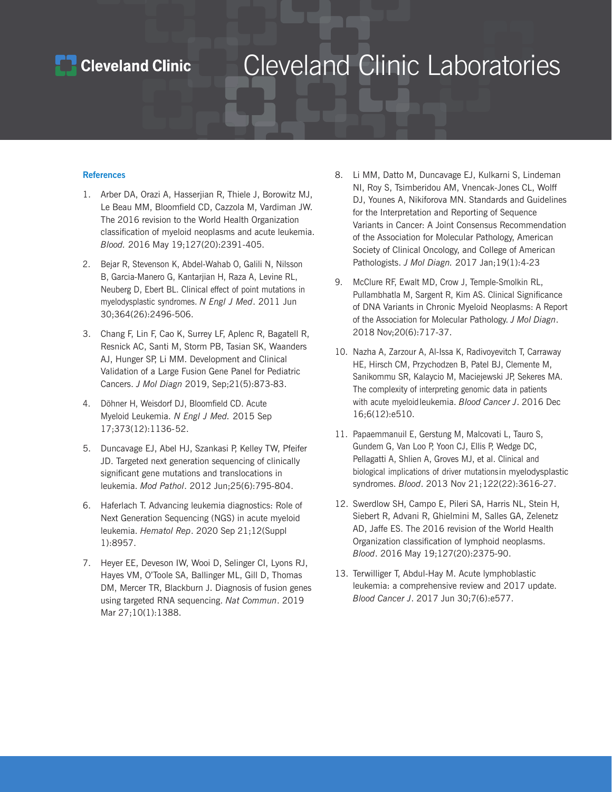### **Cleveland Clinic**

### Cleveland Clinic Laboratories

#### **References**

- 1. Arber DA, Orazi A, Hasserjian R, Thiele J, Borowitz MJ, Le Beau MM, Bloomfield CD, Cazzola M, Vardiman JW. The 2016 revision to the World Health Organization classification of myeloid neoplasms and acute leukemia. *Blood.* 2016 May 19;127(20):2391-405.
- 2. Bejar R, Stevenson K, Abdel-Wahab O, Galili N, Nilsson B, Garcia-Manero G, Kantarjian H, Raza A, Levine RL, Neuberg D, Ebert BL. Clinical effect of point mutations in myelodysplastic syndromes. *N Engl J Med*. 2011 Jun 30;364(26):2496-506.
- 3. Chang F, Lin F, Cao K, Surrey LF, Aplenc R, Bagatell R, Resnick AC, Santi M, Storm PB, Tasian SK, Waanders AJ, Hunger SP, Li MM. Development and Clinical Validation of a Large Fusion Gene Panel for Pediatric Cancers. *J Mol Diagn* 2019, Sep;21(5):873-83.
- 4. Döhner H, Weisdorf DJ, Bloomfield CD. Acute Myeloid Leukemia. *N Engl J Med.* 2015 Sep 17;373(12):1136- 52.
- 5. Duncavage EJ, Abel HJ, Szankasi P, Kelley TW, Pfeifer JD. Targeted next generation sequencing of clinically significant gene mutations and translocations in leukemia. *Mod Pathol*. 2012 Jun;25(6):795-804.
- 6. Haferlach T. Advancing leukemia diagnostics: Role of Next Generation Sequencing (NGS) in acute myeloid leukemia. *Hematol Rep*. 2020 Sep 21;12(Suppl 1):8957.
- 7. Heyer EE, Deveson IW, Wooi D, Selinger CI, Lyons RJ, Hayes VM, O'Toole SA, Ballinger ML, Gill D, Thomas DM, Mercer TR, Blackburn J. Diagnosis of fusion genes using targeted RNA sequencing. *Nat Commun*. 2019 Mar 27;10(1):1388.
- 8. Li MM, Datto M, Duncavage EJ, Kulkarni S, Lindeman NI, Roy S, Tsimberidou AM, Vnencak-Jones CL, Wolff DJ, Younes A, Nikiforova MN. Standards and Guidelines for the Interpretation and Reporting of Sequence Variants in Cancer: A Joint Consensus Recommendation of the Association for Molecular Pathology, American Society of Clinical Oncology, and College of American Pathologists. *J Mol Diagn.* 2017 Jan;19(1):4-23
- 9. McClure RF, Ewalt MD, Crow J, Temple-Smolkin RL, Pullambhatla M, Sargent R, Kim AS. Clinical Significance of DNA Variants in Chronic Myeloid Neoplasms: A Report of the Association for Molecular Pathology. *J Mol Diagn*. 2018 Nov;20(6):717-37.
- 10. Nazha A, Zarzour A, Al-Issa K, Radivoyevitch T, Carraway HE, Hirsch CM, Przychodzen B, Patel BJ, Clemente M, Sanikommu SR, Kalaycio M, Maciejewski JP, Sekeres MA. The complexity of interpreting genomic data in patients with acute myeloid leukemia. *Blood Cancer J*. 2016 Dec 16;6(12):e510.
- 11. Papaemmanuil E, Gerstung M, Malcovati L, Tauro S, Gundem G, Van Loo P, Yoon CJ, Ellis P, Wedge DC, Pellagatti A, Shlien A, Groves MJ, et al. Clinical and biological implications of driver mutations in myelodysplastic syndromes. *Blood*. 2013 Nov 21; 122(22):3616-27.
- 12. Swerdlow SH, Campo E, Pileri SA, Harris NL, Stein H, Siebert R, Advani R, Ghielmini M, Salles GA, Zelenetz AD, Jaffe ES. The 2016 revision of the World Health Organization classification of lymphoid neoplasms. *Blood*. 2016 May 19;127(20):2375-90.
- 13. Terwilliger T, Abdul-Hay M. Acute lymphoblastic leukemia: a comprehensive review and 2017 update. *Blood Cancer J*. 2017 Jun 30;7(6):e577.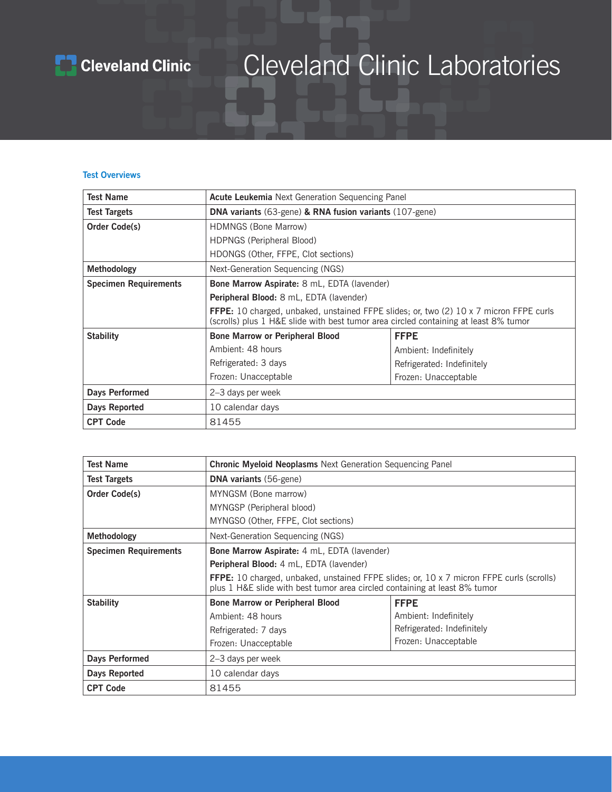

#### **Test Overviews**

| <b>Test Name</b>             | <b>Acute Leukemia</b> Next Generation Sequencing Panel                                                                                                                                |                            |  |
|------------------------------|---------------------------------------------------------------------------------------------------------------------------------------------------------------------------------------|----------------------------|--|
| <b>Test Targets</b>          | <b>DNA variants</b> (63-gene) & RNA fusion variants (107-gene)                                                                                                                        |                            |  |
| <b>Order Code(s)</b>         | <b>HDMNGS (Bone Marrow)</b>                                                                                                                                                           |                            |  |
|                              | HDPNGS (Peripheral Blood)                                                                                                                                                             |                            |  |
|                              | HDONGS (Other, FFPE, Clot sections)                                                                                                                                                   |                            |  |
| Methodology                  | Next-Generation Sequencing (NGS)                                                                                                                                                      |                            |  |
| <b>Specimen Requirements</b> | <b>Bone Marrow Aspirate:</b> 8 mL, EDTA (lavender)                                                                                                                                    |                            |  |
|                              | Peripheral Blood: 8 mL, EDTA (lavender)                                                                                                                                               |                            |  |
|                              | <b>FFPE:</b> 10 charged, unbaked, unstained FFPE slides; or, two (2) 10 x 7 micron FFPE curls<br>(scrolls) plus 1 H&E slide with best tumor area circled containing at least 8% tumor |                            |  |
| <b>Stability</b>             | <b>Bone Marrow or Peripheral Blood</b>                                                                                                                                                | <b>FFPE</b>                |  |
|                              | Ambient: 48 hours                                                                                                                                                                     | Ambient: Indefinitely      |  |
|                              | Refrigerated: 3 days                                                                                                                                                                  | Refrigerated: Indefinitely |  |
|                              | Frozen: Unacceptable<br>Frozen: Unacceptable                                                                                                                                          |                            |  |
| <b>Days Performed</b>        | 2-3 days per week                                                                                                                                                                     |                            |  |
| Days Reported                | 10 calendar days                                                                                                                                                                      |                            |  |
| <b>CPT Code</b>              | 81455                                                                                                                                                                                 |                            |  |

| <b>Test Name</b>             | <b>Chronic Myeloid Neoplasms</b> Next Generation Sequencing Panel                                                                                                             |                            |  |
|------------------------------|-------------------------------------------------------------------------------------------------------------------------------------------------------------------------------|----------------------------|--|
| <b>Test Targets</b>          | <b>DNA variants</b> (56-gene)                                                                                                                                                 |                            |  |
| Order Code(s)                | MYNGSM (Bone marrow)                                                                                                                                                          |                            |  |
|                              | MYNGSP (Peripheral blood)                                                                                                                                                     |                            |  |
|                              | MYNGSO (Other, FFPE, Clot sections)                                                                                                                                           |                            |  |
| <b>Methodology</b>           | Next-Generation Sequencing (NGS)                                                                                                                                              |                            |  |
| <b>Specimen Requirements</b> | <b>Bone Marrow Aspirate:</b> 4 mL, EDTA (lavender)                                                                                                                            |                            |  |
|                              | Peripheral Blood: 4 mL, EDTA (lavender)                                                                                                                                       |                            |  |
|                              | <b>FFPE:</b> 10 charged, unbaked, unstained FFPE slides; or, 10 x 7 micron FFPE curls (scrolls)<br>plus 1 H&E slide with best tumor area circled containing at least 8% tumor |                            |  |
| <b>Stability</b>             | <b>Bone Marrow or Peripheral Blood</b><br><b>FFPE</b>                                                                                                                         |                            |  |
|                              | Ambient: 48 hours                                                                                                                                                             | Ambient: Indefinitely      |  |
|                              | Refrigerated: 7 days                                                                                                                                                          | Refrigerated: Indefinitely |  |
|                              | Frozen: Unacceptable<br>Frozen: Unacceptable                                                                                                                                  |                            |  |
| Days Performed               | 2–3 days per week                                                                                                                                                             |                            |  |
| <b>Days Reported</b>         | 10 calendar days                                                                                                                                                              |                            |  |
| <b>CPT Code</b>              | 81455                                                                                                                                                                         |                            |  |